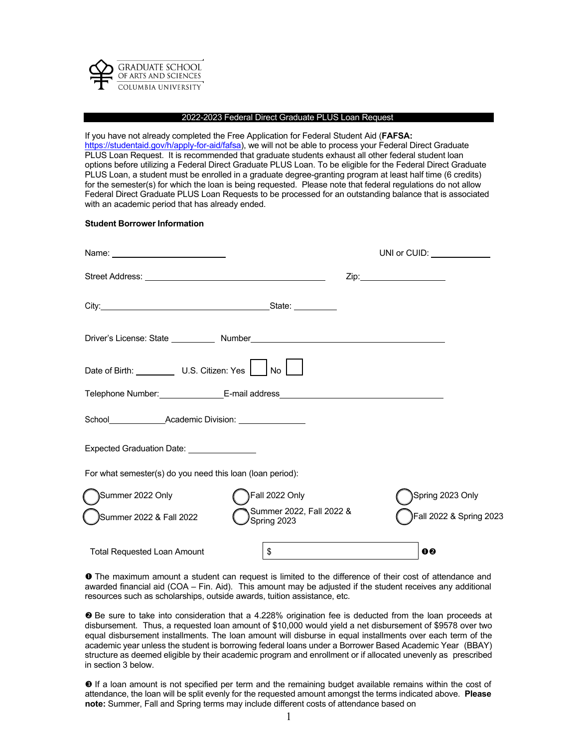

### 2022-2023 Federal Direct Graduate PLUS Loan Request

If you have not already completed the Free Application for Federal Student Aid (**FAFSA:** https://studentaid.gov/h/apply-for-aid/fafsa), we will not be able to process your Federal Direct Graduate PLUS Loan Request. It is recommended that graduate students exhaust all other federal student loan options before utilizing a Federal Direct Graduate PLUS Loan. To be eligible for the Federal Direct Graduate PLUS Loan, a student must be enrolled in a graduate degree-granting program at least half time (6 credits) for the semester(s) for which the loan is being requested. Please note that federal regulations do not allow Federal Direct Graduate PLUS Loan Requests to be processed for an outstanding balance that is associated with an academic period that has already ended.

#### **Student Borrower Information**

|                                                                                                                      | UNI or CUID: $\_\_\_\_\_\_\_\_\_\_\_\_\_\_\_\_\_\_$ |                               |                         |
|----------------------------------------------------------------------------------------------------------------------|-----------------------------------------------------|-------------------------------|-------------------------|
| Street Address: <u>www.community.com and a street set and a street set and a street set of a street set of a str</u> |                                                     | Zip:_________________________ |                         |
|                                                                                                                      |                                                     |                               |                         |
|                                                                                                                      |                                                     |                               |                         |
| Date of Birth: U.S. Citizen: Yes                                                                                     | No                                                  |                               |                         |
| Telephone Number: ____________________E-mail address____________________________                                     |                                                     |                               |                         |
| School Academic Division: Charles Broad                                                                              |                                                     |                               |                         |
| Expected Graduation Date: _______________                                                                            |                                                     |                               |                         |
| For what semester(s) do you need this loan (loan period):                                                            |                                                     |                               |                         |
| Summer 2022 Only                                                                                                     | Fall 2022 Only                                      |                               | Spring 2023 Only        |
| Summer 2022 & Fall 2022                                                                                              | Summer 2022, Fall 2022 &<br>Spring 2023             |                               | Fall 2022 & Spring 2023 |
| <b>Total Requested Loan Amount</b>                                                                                   | \$                                                  | 0 <sub>0</sub>                |                         |

**O** The maximum amount a student can request is limited to the difference of their cost of attendance and awarded financial aid (COA – Fin. Aid). This amount may be adjusted if the student receives any additional resources such as scholarships, outside awards, tuition assistance, etc.

 Be sure to take into consideration that a 4.228% origination fee is deducted from the loan proceeds at disbursement. Thus, a requested loan amount of \$10,000 would yield a net disbursement of \$9578 over two equal disbursement installments. The loan amount will disburse in equal installments over each term of the academic year unless the student is borrowing federal loans under a Borrower Based Academic Year (BBAY) structure as deemed eligible by their academic program and enrollment or if allocated unevenly as prescribed in section 3 below.

 $\Theta$  If a loan amount is not specified per term and the remaining budget available remains within the cost of attendance, the loan will be split evenly for the requested amount amongst the terms indicated above. **Please note:** Summer, Fall and Spring terms may include different costs of attendance based on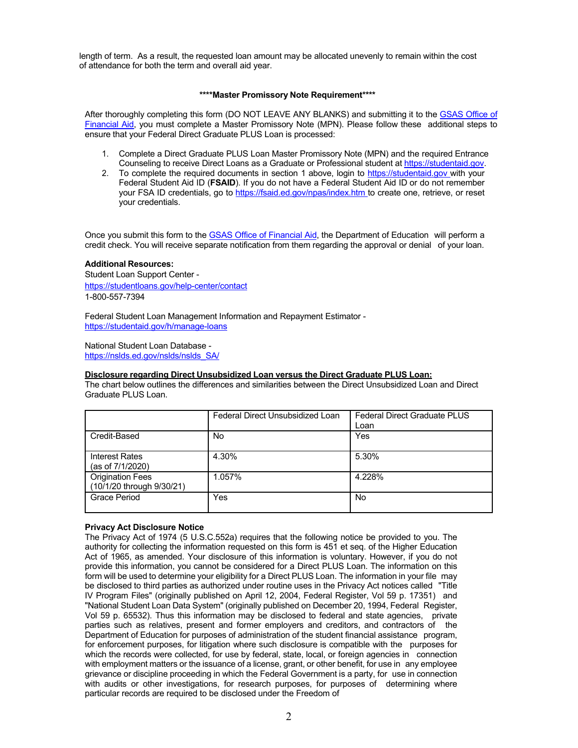length of term. As a result, the requested loan amount may be allocated unevenly to remain within the cost of attendance for both the term and overall aid year.

### **\*\*\*\*Master Promissory Note Requirement\*\*\*\***

After thoroughly completing this form (DO NOT LEAVE ANY BLANKS) and submitting it to the GSAS Office of Financial Aid, you must complete a Master Promissory Note (MPN). Please follow these additional steps to ensure that your Federal Direct Graduate PLUS Loan is processed:

- 1. Complete a Direct Graduate PLUS Loan Master Promissory Note (MPN) and the required Entrance Counseling to receive Direct Loans as a Graduate or Professional student at https://studentaid.gov.
- 2. To complete the required documents in section 1 above, login to https://studentaid.gov with your Federal Student Aid ID (**FSAID**). If you do not have a Federal Student Aid ID or do not remember your FSA ID credentials, go to https://fsaid.ed.gov/npas/index.htm to create one, retrieve, or reset your credentials.

Once you submit this form to the GSAS Office of Financial Aid, the Department of Education will perform a credit check. You will receive separate notification from them regarding the approval or denial of your loan.

# **Additional Resources:**

Student Loan Support Center https://studentloans.gov/help-center/contact 1-800-557-7394

Federal Student Loan Management Information and Repayment Estimator https://studentaid.gov/h/manage-loans

National Student Loan Database https://nslds.ed.gov/nslds/nslds\_SA/

### **Disclosure regarding Direct Unsubsidized Loan versus the Direct Graduate PLUS Loan:**

The chart below outlines the differences and similarities between the Direct Unsubsidized Loan and Direct Graduate PLUS Loan.

|                                                      | Federal Direct Unsubsidized Loan | <b>Federal Direct Graduate PLUS</b><br>Loan |
|------------------------------------------------------|----------------------------------|---------------------------------------------|
| Credit-Based                                         | No                               | Yes                                         |
| <b>Interest Rates</b><br>(as of 7/1/2020)            | 4.30%                            | 5.30%                                       |
| <b>Origination Fees</b><br>(10/1/20 through 9/30/21) | 1.057%                           | 4.228%                                      |
| Grace Period                                         | Yes                              | No                                          |

# **Privacy Act Disclosure Notice**

The Privacy Act of 1974 (5 U.S.C.552a) requires that the following notice be provided to you. The authority for collecting the information requested on this form is 451 et seq. of the Higher Education Act of 1965, as amended. Your disclosure of this information is voluntary. However, if you do not provide this information, you cannot be considered for a Direct PLUS Loan. The information on this form will be used to determine your eligibility for a Direct PLUS Loan. The information in your file may be disclosed to third parties as authorized under routine uses in the Privacy Act notices called "Title IV Program Files" (originally published on April 12, 2004, Federal Register, Vol 59 p. 17351) and "National Student Loan Data System" (originally published on December 20, 1994, Federal Register, Vol 59 p. 65532). Thus this information may be disclosed to federal and state agencies, private parties such as relatives, present and former employers and creditors, and contractors of the Department of Education for purposes of administration of the student financial assistance program, for enforcement purposes, for litigation where such disclosure is compatible with the purposes for which the records were collected, for use by federal, state, local, or foreign agencies in connection with employment matters or the issuance of a license, grant, or other benefit, for use in any employee grievance or discipline proceeding in which the Federal Government is a party, for use in connection with audits or other investigations, for research purposes, for purposes of determining where particular records are required to be disclosed under the Freedom of